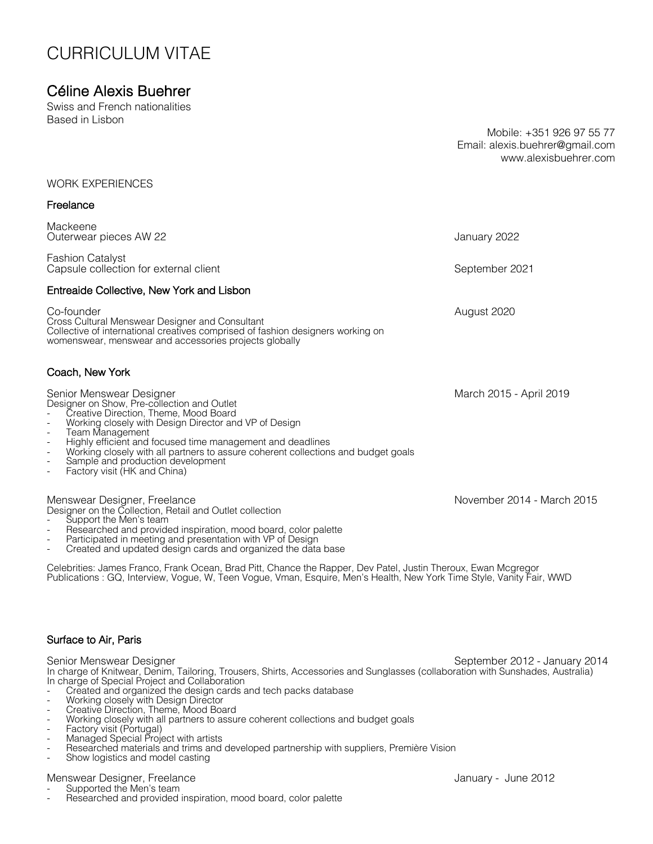# CURRICULUM VITAE

## Céline Alexis Buehrer

Swiss and French nationalities Based in Lisbon

Mobile: +351 926 97 55 77 Email: alexis.buehrer@gmail.com www.alexisbuehrer.com

### WORK EXPERIENCES

## Freelance Mackeene Outerwear pieces AW 22 January 2022 Fashion Catalyst Capsule collection for external client September 2021 Entreaide Collective, New York and Lisbon Co-founder August 2020 Cross Cultural Menswear Designer and Consultant Collective of international creatives comprised of fashion designers working on womenswear, menswear and accessories projects globally Coach, New York Senior Menswear Designer March 2015 - April 2019 Designer on Show, Pre-collection and Outlet<br>- Creative Direction, Theme, Mood Board Working closely with Design Director and VP of Design<br>Team Management Highly efficient and focused time management and deadlines Working closely with all partners to assure coherent collections and budget goals Sample and production development Factory visit (HK and China) Menswear Designer, Freelance<br>
Designer on the Collection, Retail and Outlet collection<br>
November 2014 - March 2015 Support the Men's team<br>Researched and provided inspiration, mood board, color palette<br>Participated in meeting and presentation with VP of Design Created and updated design cards and organized the data base Celebrities: James Franco, Frank Ocean, Brad Pitt, Chance the Rapper, Dev Patel, Justin Theroux, Ewan Mcgregor Publications : GQ, Interview, Vogue, W, Teen Vogue, Vman, Esquire, Men's Health, New York Time Style, Vanity Fair, WWD Surface to Air, Paris

Senior Menswear Designer September 2012 - January 2014 In charge of Knitwear, Denim, Tailoring, Trousers, Shirts, Accessories and Sunglasses (collaboration with Sunshades, Australia) In charge of Special Project and Collaboration

- 
- 
- 
- Created and organized the design cards and tech packs database<br>Working closely with Design Director<br>Creative Direction, Theme, Mood Board<br>Working closely with all partners to assure coherent collections and budget goals<br>Fa
- 
- 
- 
- Show logistics and model casting

- 
- Menswear Designer, Freelance<br>- Supported the Men's team<br>- Researched and provided inspiration, mood board, color palette